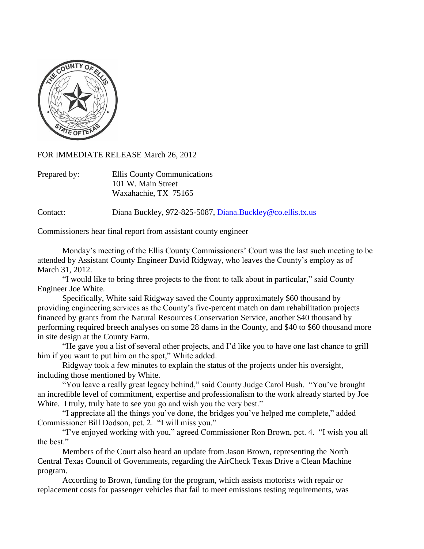

FOR IMMEDIATE RELEASE March 26, 2012

| Prepared by: | Ellis County Communications |
|--------------|-----------------------------|
|              | 101 W. Main Street          |
|              | Waxahachie, TX 75165        |

Contact: Diana Buckley, 972-825-5087, [Diana.Buckley@co.ellis.tx.us](mailto:Diana.Buckley@co.ellis.tx.us)

Commissioners hear final report from assistant county engineer

Monday's meeting of the Ellis County Commissioners' Court was the last such meeting to be attended by Assistant County Engineer David Ridgway, who leaves the County's employ as of March 31, 2012.

"I would like to bring three projects to the front to talk about in particular," said County Engineer Joe White.

Specifically, White said Ridgway saved the County approximately \$60 thousand by providing engineering services as the County's five-percent match on dam rehabilitation projects financed by grants from the Natural Resources Conservation Service, another \$40 thousand by performing required breech analyses on some 28 dams in the County, and \$40 to \$60 thousand more in site design at the County Farm.

"He gave you a list of several other projects, and I'd like you to have one last chance to grill him if you want to put him on the spot," White added.

Ridgway took a few minutes to explain the status of the projects under his oversight, including those mentioned by White.

"You leave a really great legacy behind," said County Judge Carol Bush. "You've brought an incredible level of commitment, expertise and professionalism to the work already started by Joe White. I truly, truly hate to see you go and wish you the very best."

"I appreciate all the things you've done, the bridges you've helped me complete," added Commissioner Bill Dodson, pct. 2. "I will miss you."

"I've enjoyed working with you," agreed Commissioner Ron Brown, pct. 4. "I wish you all the best."

Members of the Court also heard an update from Jason Brown, representing the North Central Texas Council of Governments, regarding the AirCheck Texas Drive a Clean Machine program.

According to Brown, funding for the program, which assists motorists with repair or replacement costs for passenger vehicles that fail to meet emissions testing requirements, was